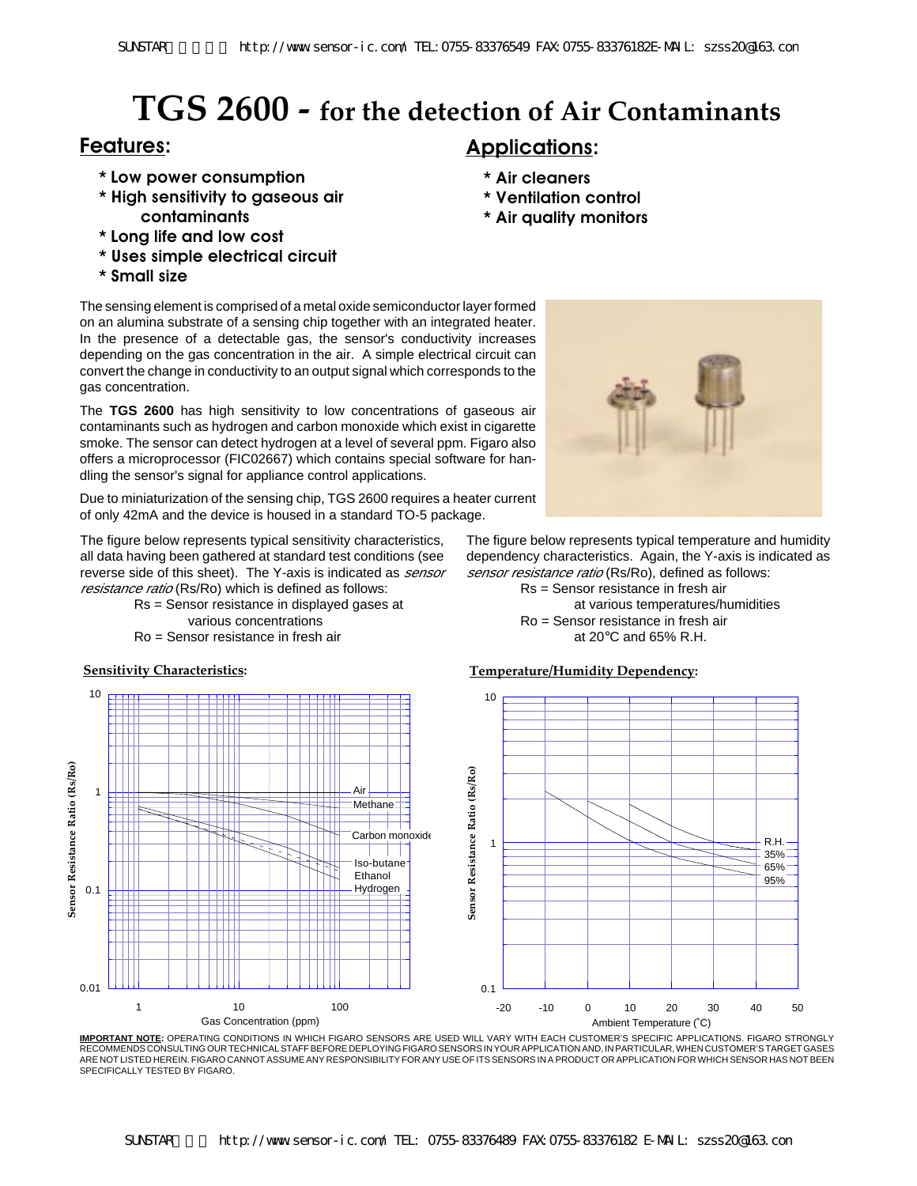# **TGS 2600 - for the detection of Air Contaminants**

- **\* Low power consumption**
- **\* High sensitivity to gaseous air contaminants**
- **\* Long life and low cost**
- **\* Uses simple electrical circuit**
- **\* Small size**

The sensing element is comprised of a metal oxide semiconductor layer formed on an alumina substrate of a sensing chip together with an integrated heater. In the presence of a detectable gas, the sensor's conductivity increases depending on the gas concentration in the air. A simple electrical circuit can convert the change in conductivity to an output signal which corresponds to the gas concentration.

The **TGS 2600** has high sensitivity to low concentrations of gaseous air contaminants such as hydrogen and carbon monoxide which exist in cigarette smoke. The sensor can detect hydrogen at a level of several ppm. Figaro also offers a microprocessor (FIC02667) which contains special software for handling the sensor's signal for appliance control applications.

Due to miniaturization of the sensing chip, TGS 2600 requires a heater current of only 42mA and the device is housed in a standard TO-5 package.

The figure below represents typical sensitivity characteristics, all data having been gathered at standard test conditions (see reverse side of this sheet). The Y-axis is indicated as *sensor* resistance ratio (Rs/Ro) which is defined as follows:

- Rs = Sensor resistance in displayed gases at various concentrations
- Ro = Sensor resistance in fresh air



# **Features: Applications:**

- **\* Air cleaners**
- **\* Ventilation control**
- **\* Air quality monitors**



The figure below represents typical temperature and humidity dependency characteristics. Again, the Y-axis is indicated as sensor resistance ratio (Rs/Ro), defined as follows:

> Rs = Sensor resistance in fresh air at various temperatures/humidities Ro = Sensor resistance in fresh air at 20°C and 65% R.H.



**IMPORTANT NOTE:** OPERATING CONDITIONS IN WHICH FIGARO SENSORS ARE USED WILL VARY WITH EACH CUSTOMER'S SPECIFIC APPLICATIONS. FIGARO STRONGLY RECOMMENDS CONSULTING OUR TECHNICAL STAFF BEFORE DEPLOYING FIGARO SENSORS IN YOUR APPLICATION AND, IN PARTICULAR, WHEN CUSTOMER'S TARGET GASES ARE NOT LISTED HEREIN. FIGARO CANNOT ASSUME ANY RESPONSIBILITY FOR ANY USE OF ITS SENSORS IN A PRODUCT OR APPLICATION FOR WHICH SENSOR HAS NOT BEEN SPECIFICALLY TESTED BY FIGARO.